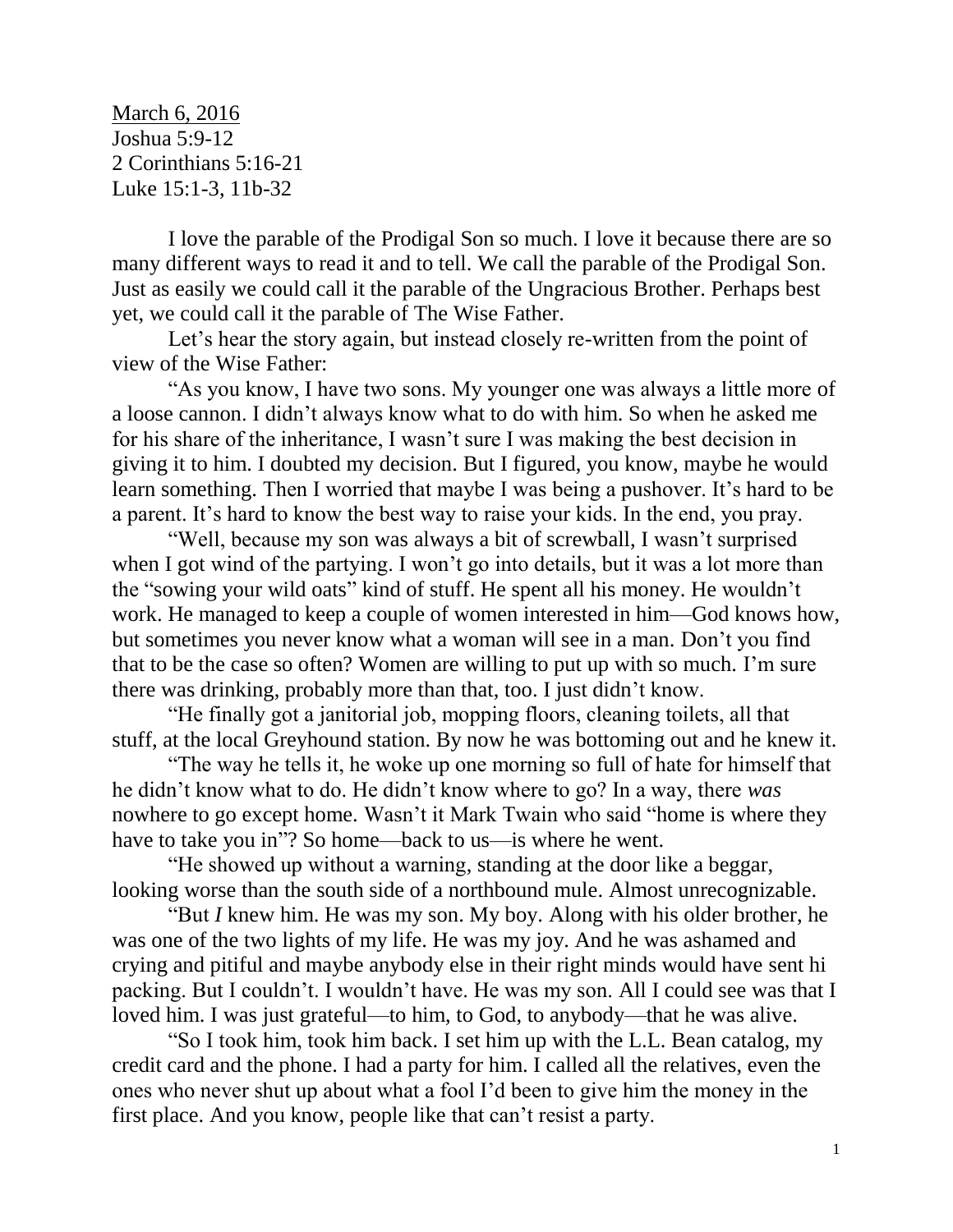March 6, 2016 Joshua 5:9-12 2 Corinthians 5:16-21 Luke 15:1-3, 11b-32

I love the parable of the Prodigal Son so much. I love it because there are so many different ways to read it and to tell. We call the parable of the Prodigal Son. Just as easily we could call it the parable of the Ungracious Brother. Perhaps best yet, we could call it the parable of The Wise Father.

Let's hear the story again, but instead closely re-written from the point of view of the Wise Father:

"As you know, I have two sons. My younger one was always a little more of a loose cannon. I didn't always know what to do with him. So when he asked me for his share of the inheritance, I wasn't sure I was making the best decision in giving it to him. I doubted my decision. But I figured, you know, maybe he would learn something. Then I worried that maybe I was being a pushover. It's hard to be a parent. It's hard to know the best way to raise your kids. In the end, you pray.

"Well, because my son was always a bit of screwball, I wasn't surprised when I got wind of the partying. I won't go into details, but it was a lot more than the "sowing your wild oats" kind of stuff. He spent all his money. He wouldn't work. He managed to keep a couple of women interested in him—God knows how, but sometimes you never know what a woman will see in a man. Don't you find that to be the case so often? Women are willing to put up with so much. I'm sure there was drinking, probably more than that, too. I just didn't know.

"He finally got a janitorial job, mopping floors, cleaning toilets, all that stuff, at the local Greyhound station. By now he was bottoming out and he knew it.

"The way he tells it, he woke up one morning so full of hate for himself that he didn't know what to do. He didn't know where to go? In a way, there *was*  nowhere to go except home. Wasn't it Mark Twain who said "home is where they have to take you in"? So home—back to us—is where he went.

"He showed up without a warning, standing at the door like a beggar, looking worse than the south side of a northbound mule. Almost unrecognizable.

"But *I* knew him. He was my son. My boy. Along with his older brother, he was one of the two lights of my life. He was my joy. And he was ashamed and crying and pitiful and maybe anybody else in their right minds would have sent hi packing. But I couldn't. I wouldn't have. He was my son. All I could see was that I loved him. I was just grateful—to him, to God, to anybody—that he was alive.

"So I took him, took him back. I set him up with the L.L. Bean catalog, my credit card and the phone. I had a party for him. I called all the relatives, even the ones who never shut up about what a fool I'd been to give him the money in the first place. And you know, people like that can't resist a party.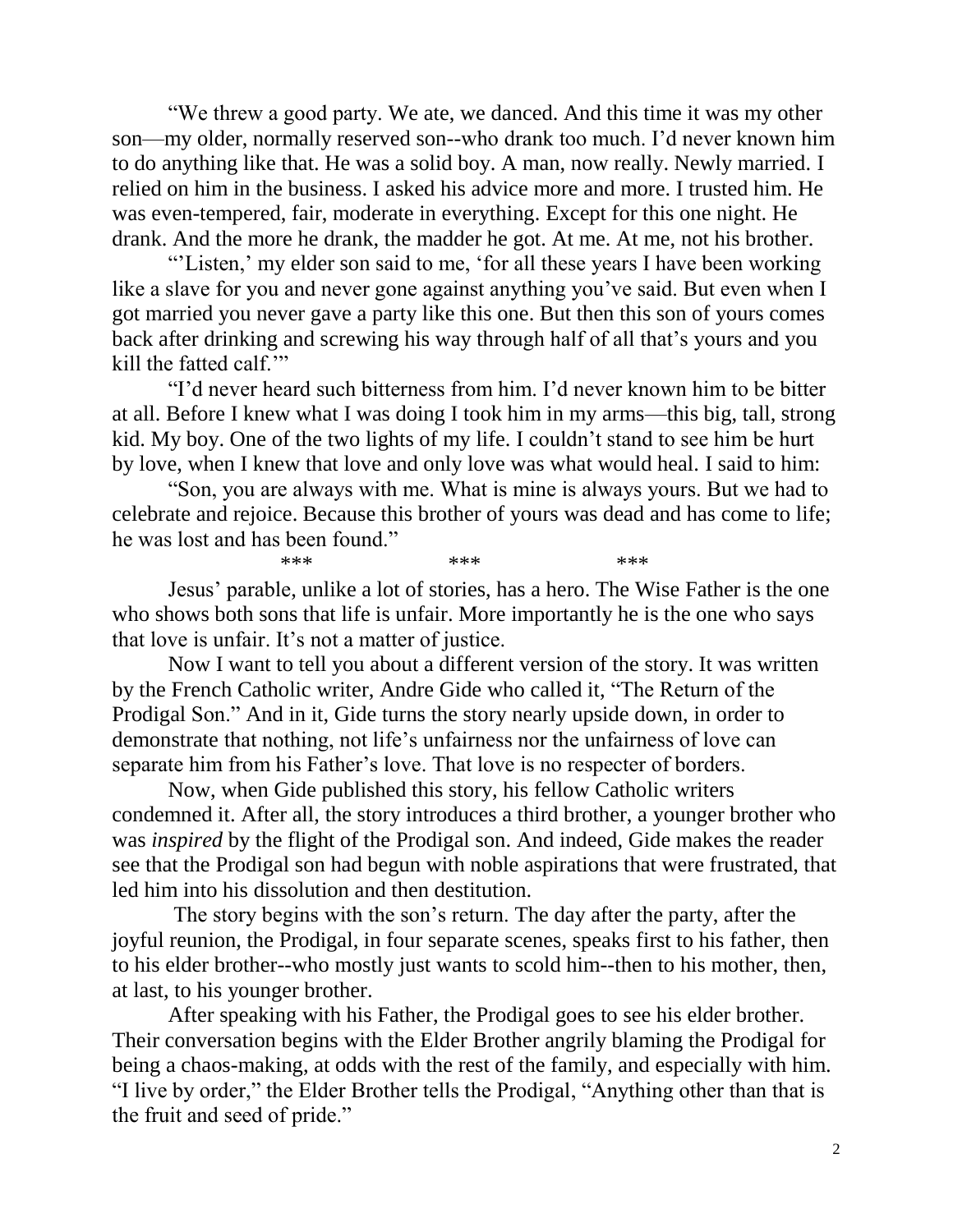"We threw a good party. We ate, we danced. And this time it was my other son—my older, normally reserved son--who drank too much. I'd never known him to do anything like that. He was a solid boy. A man, now really. Newly married. I relied on him in the business. I asked his advice more and more. I trusted him. He was even-tempered, fair, moderate in everything. Except for this one night. He drank. And the more he drank, the madder he got. At me. At me, not his brother.

"'Listen,' my elder son said to me, 'for all these years I have been working like a slave for you and never gone against anything you've said. But even when I got married you never gave a party like this one. But then this son of yours comes back after drinking and screwing his way through half of all that's yours and you kill the fatted calf.'"

"I'd never heard such bitterness from him. I'd never known him to be bitter at all. Before I knew what I was doing I took him in my arms—this big, tall, strong kid. My boy. One of the two lights of my life. I couldn't stand to see him be hurt by love, when I knew that love and only love was what would heal. I said to him:

"Son, you are always with me. What is mine is always yours. But we had to celebrate and rejoice. Because this brother of yours was dead and has come to life; he was lost and has been found."

\*\*\* \*\*\* \*\*\* \*\*\* Jesus' parable, unlike a lot of stories, has a hero. The Wise Father is the one who shows both sons that life is unfair. More importantly he is the one who says that love is unfair. It's not a matter of justice.

Now I want to tell you about a different version of the story. It was written by the French Catholic writer, Andre Gide who called it, "The Return of the Prodigal Son." And in it, Gide turns the story nearly upside down, in order to demonstrate that nothing, not life's unfairness nor the unfairness of love can separate him from his Father's love. That love is no respecter of borders.

Now, when Gide published this story, his fellow Catholic writers condemned it. After all, the story introduces a third brother, a younger brother who was *inspired* by the flight of the Prodigal son. And indeed, Gide makes the reader see that the Prodigal son had begun with noble aspirations that were frustrated, that led him into his dissolution and then destitution.

The story begins with the son's return. The day after the party, after the joyful reunion, the Prodigal, in four separate scenes, speaks first to his father, then to his elder brother--who mostly just wants to scold him--then to his mother, then, at last, to his younger brother.

After speaking with his Father, the Prodigal goes to see his elder brother. Their conversation begins with the Elder Brother angrily blaming the Prodigal for being a chaos-making, at odds with the rest of the family, and especially with him. "I live by order," the Elder Brother tells the Prodigal, "Anything other than that is the fruit and seed of pride."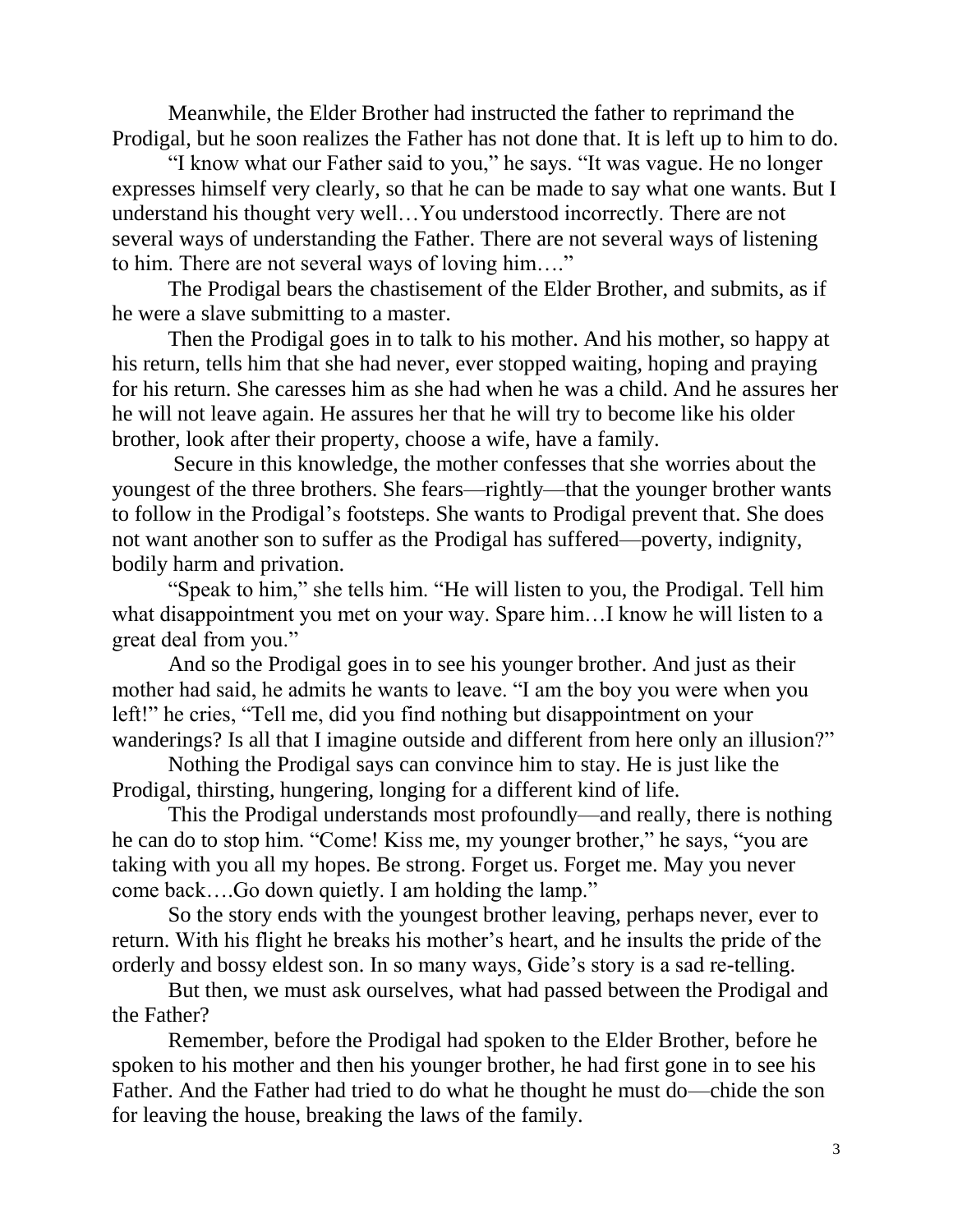Meanwhile, the Elder Brother had instructed the father to reprimand the Prodigal, but he soon realizes the Father has not done that. It is left up to him to do.

"I know what our Father said to you," he says. "It was vague. He no longer expresses himself very clearly, so that he can be made to say what one wants. But I understand his thought very well…You understood incorrectly. There are not several ways of understanding the Father. There are not several ways of listening to him. There are not several ways of loving him…."

The Prodigal bears the chastisement of the Elder Brother, and submits, as if he were a slave submitting to a master.

Then the Prodigal goes in to talk to his mother. And his mother, so happy at his return, tells him that she had never, ever stopped waiting, hoping and praying for his return. She caresses him as she had when he was a child. And he assures her he will not leave again. He assures her that he will try to become like his older brother, look after their property, choose a wife, have a family.

Secure in this knowledge, the mother confesses that she worries about the youngest of the three brothers. She fears—rightly—that the younger brother wants to follow in the Prodigal's footsteps. She wants to Prodigal prevent that. She does not want another son to suffer as the Prodigal has suffered—poverty, indignity, bodily harm and privation.

"Speak to him," she tells him. "He will listen to you, the Prodigal. Tell him what disappointment you met on your way. Spare him...I know he will listen to a great deal from you."

And so the Prodigal goes in to see his younger brother. And just as their mother had said, he admits he wants to leave. "I am the boy you were when you left!" he cries, "Tell me, did you find nothing but disappointment on your wanderings? Is all that I imagine outside and different from here only an illusion?"

Nothing the Prodigal says can convince him to stay. He is just like the Prodigal, thirsting, hungering, longing for a different kind of life.

This the Prodigal understands most profoundly—and really, there is nothing he can do to stop him. "Come! Kiss me, my younger brother," he says, "you are taking with you all my hopes. Be strong. Forget us. Forget me. May you never come back….Go down quietly. I am holding the lamp."

So the story ends with the youngest brother leaving, perhaps never, ever to return. With his flight he breaks his mother's heart, and he insults the pride of the orderly and bossy eldest son. In so many ways, Gide's story is a sad re-telling.

But then, we must ask ourselves, what had passed between the Prodigal and the Father?

Remember, before the Prodigal had spoken to the Elder Brother, before he spoken to his mother and then his younger brother, he had first gone in to see his Father. And the Father had tried to do what he thought he must do—chide the son for leaving the house, breaking the laws of the family.